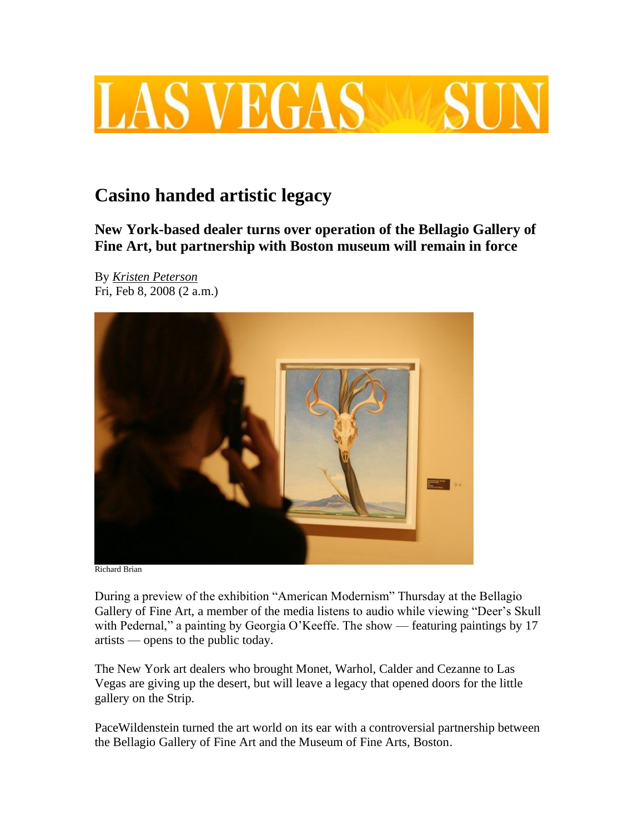

## **Casino handed artistic legacy**

**New York-based dealer turns over operation of the Bellagio Gallery of Fine Art, but partnership with Boston museum will remain in force** 

By *[Kristen Peterson](http://www.lasvegassun.com/staff/kristen-peterson/)* Fri, Feb 8, 2008 (2 a.m.)



Richard Brian

During a preview of the exhibition "American Modernism" Thursday at the Bellagio Gallery of Fine Art, a member of the media listens to audio while viewing "Deer's Skull with Pedernal," a painting by Georgia O'Keeffe. The show — featuring paintings by 17 artists — opens to the public today.

The New York art dealers who brought Monet, Warhol, Calder and Cezanne to Las Vegas are giving up the desert, but will leave a legacy that opened doors for the little gallery on the Strip.

PaceWildenstein turned the art world on its ear with a controversial partnership between the Bellagio Gallery of Fine Art and the Museum of Fine Arts, Boston.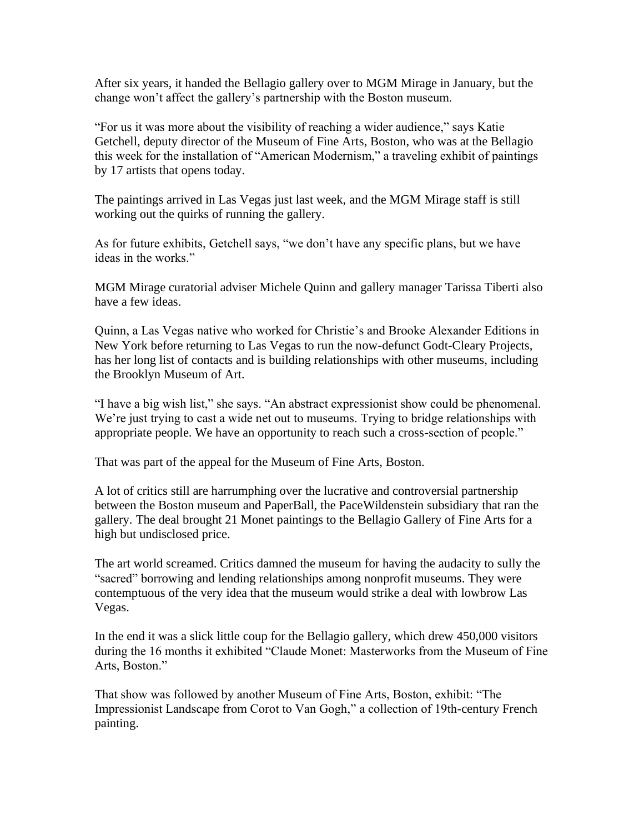After six years, it handed the Bellagio gallery over to MGM Mirage in January, but the change won't affect the gallery's partnership with the Boston museum.

"For us it was more about the visibility of reaching a wider audience," says Katie Getchell, deputy director of the Museum of Fine Arts, Boston, who was at the Bellagio this week for the installation of "American Modernism," a traveling exhibit of paintings by 17 artists that opens today.

The paintings arrived in Las Vegas just last week, and the MGM Mirage staff is still working out the quirks of running the gallery.

As for future exhibits, Getchell says, "we don't have any specific plans, but we have ideas in the works."

MGM Mirage curatorial adviser Michele Quinn and gallery manager Tarissa Tiberti also have a few ideas.

Quinn, a Las Vegas native who worked for Christie's and Brooke Alexander Editions in New York before returning to Las Vegas to run the now-defunct Godt-Cleary Projects, has her long list of contacts and is building relationships with other museums, including the Brooklyn Museum of Art.

"I have a big wish list," she says. "An abstract expressionist show could be phenomenal. We're just trying to cast a wide net out to museums. Trying to bridge relationships with appropriate people. We have an opportunity to reach such a cross-section of people."

That was part of the appeal for the Museum of Fine Arts, Boston.

A lot of critics still are harrumphing over the lucrative and controversial partnership between the Boston museum and PaperBall, the PaceWildenstein subsidiary that ran the gallery. The deal brought 21 Monet paintings to the Bellagio Gallery of Fine Arts for a high but undisclosed price.

The art world screamed. Critics damned the museum for having the audacity to sully the "sacred" borrowing and lending relationships among nonprofit museums. They were contemptuous of the very idea that the museum would strike a deal with lowbrow Las Vegas.

In the end it was a slick little coup for the Bellagio gallery, which drew 450,000 visitors during the 16 months it exhibited "Claude Monet: Masterworks from the Museum of Fine Arts, Boston."

That show was followed by another Museum of Fine Arts, Boston, exhibit: "The Impressionist Landscape from Corot to Van Gogh," a collection of 19th-century French painting.